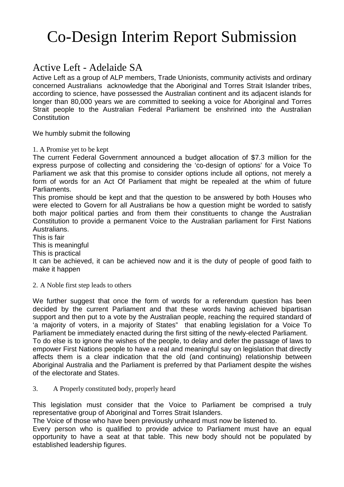# Co-Design Interim Report Submission

## Active Left - Adelaide SA

Active Left as a group of ALP members, Trade Unionists, community activists and ordinary concerned Australians acknowledge that the Aboriginal and Torres Strait Islander tribes, according to science, have possessed the Australian continent and its adjacent islands for longer than 80,000 years we are committed to seeking a voice for Aboriginal and Torres Strait people to the Australian Federal Parliament be enshrined into the Australian **Constitution** 

We humbly submit the following

1. A Promise yet to be kept

The current Federal Government announced a budget allocation of \$7.3 million for the express purpose of collecting and considering the 'co-design of options' for a Voice To Parliament we ask that this promise to consider options include all options, not merely a form of words for an Act Of Parliament that might be repealed at the whim of future Parliaments.

This promise should be kept and that the question to be answered by both Houses who were elected to Govern for all Australians be how a question might be worded to satisfy both major political parties and from them their constituents to change the Australian Constitution to provide a permanent Voice to the Australian parliament for First Nations Australians.

This is fair

This is meaningful

This is practical

It can be achieved, it can be achieved now and it is the duty of people of good faith to make it happen

2. A Noble first step leads to others

We further suggest that once the form of words for a referendum question has been decided by the current Parliament and that these words having achieved bipartisan support and then put to a vote by the Australian people, reaching the required standard of 'a majority of voters, in a majority of States" that enabling legislation for a Voice To Parliament be immediately enacted during the first sitting of the newly-elected Parliament. To do else is to ignore the wishes of the people, to delay and defer the passage of laws to empower First Nations people to have a real and meaningful say on legislation that directly affects them is a clear indication that the old (and continuing) relationship between Aboriginal Australia and the Parliament is preferred by that Parliament despite the wishes of the electorate and States.

#### 3. A Properly constituted body, properly heard

This legislation must consider that the Voice to Parliament be comprised a truly representative group of Aboriginal and Torres Strait Islanders.

The Voice of those who have been previously unheard must now be listened to.

Every person who is qualified to provide advice to Parliament must have an equal opportunity to have a seat at that table. This new body should not be populated by established leadership figures.